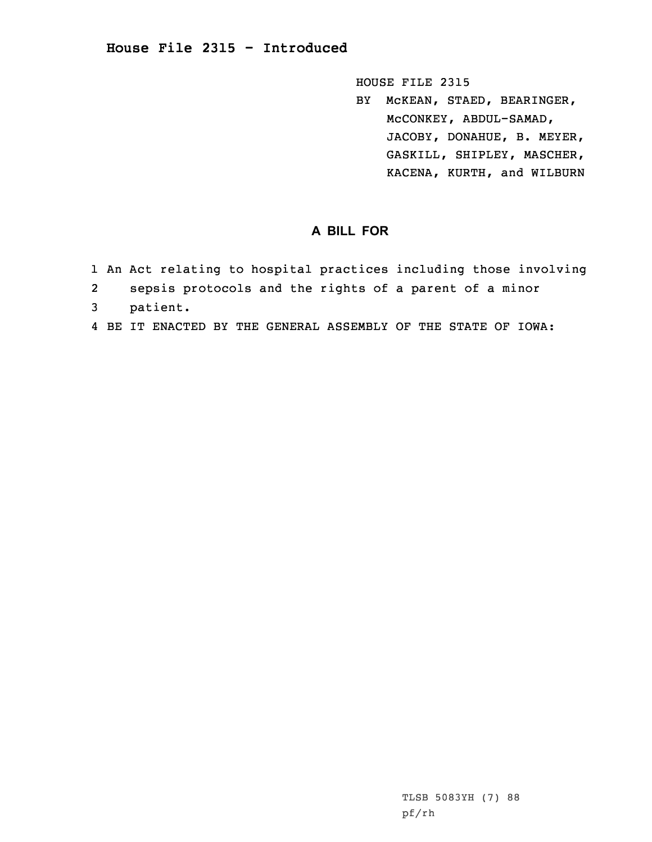## **House File 2315 - Introduced**

HOUSE FILE 2315

BY McKEAN, STAED, BEARINGER, McCONKEY, ABDUL-SAMAD, JACOBY, DONAHUE, B. MEYER, GASKILL, SHIPLEY, MASCHER, KACENA, KURTH, and WILBURN

## **A BILL FOR**

- 1 An Act relating to hospital practices including those involving
- 2sepsis protocols and the rights of <sup>a</sup> parent of <sup>a</sup> minor
- 3 patient.
- 4 BE IT ENACTED BY THE GENERAL ASSEMBLY OF THE STATE OF IOWA: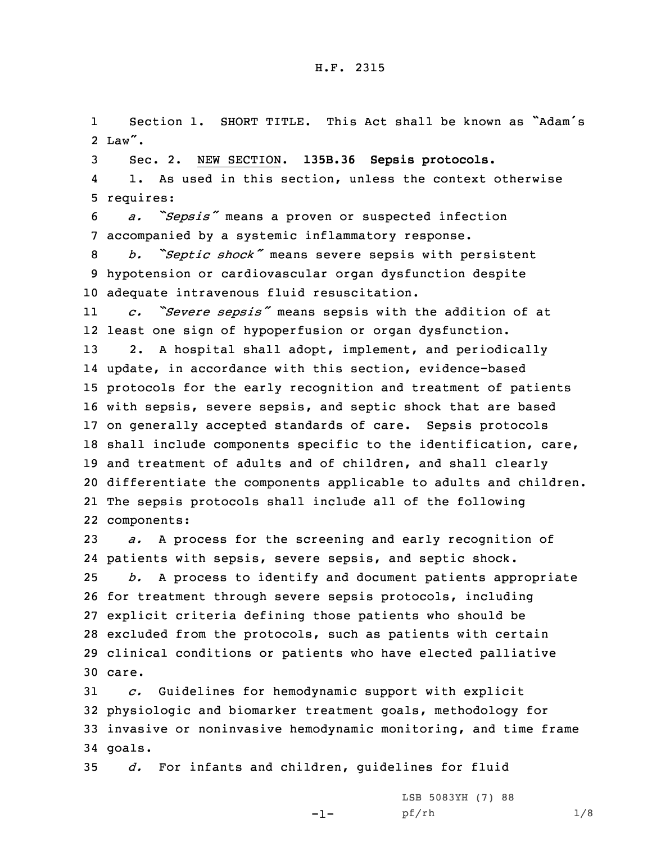## H.F. 2315

1 Section 1. SHORT TITLE. This Act shall be known as "Adam's 2 Law".

3 Sec. 2. NEW SECTION. **135B.36 Sepsis protocols.**

4 1. As used in this section, unless the context otherwise 5 requires:

<sup>6</sup> *a. "Sepsis"* means <sup>a</sup> proven or suspected infection 7 accompanied by <sup>a</sup> systemic inflammatory response.

<sup>8</sup> *b. "Septic shock"* means severe sepsis with persistent 9 hypotension or cardiovascular organ dysfunction despite 10 adequate intravenous fluid resuscitation.

11 *c. "Severe sepsis"* means sepsis with the addition of at 12 least one sign of hypoperfusion or organ dysfunction.

 2. <sup>A</sup> hospital shall adopt, implement, and periodically update, in accordance with this section, evidence-based protocols for the early recognition and treatment of patients with sepsis, severe sepsis, and septic shock that are based on generally accepted standards of care. Sepsis protocols shall include components specific to the identification, care, and treatment of adults and of children, and shall clearly differentiate the components applicable to adults and children. The sepsis protocols shall include all of the following components:

 *a.* <sup>A</sup> process for the screening and early recognition of patients with sepsis, severe sepsis, and septic shock. *b.* <sup>A</sup> process to identify and document patients appropriate for treatment through severe sepsis protocols, including explicit criteria defining those patients who should be excluded from the protocols, such as patients with certain clinical conditions or patients who have elected palliative 30 care.

 *c.* Guidelines for hemodynamic support with explicit physiologic and biomarker treatment goals, methodology for invasive or noninvasive hemodynamic monitoring, and time frame 34 goals.

-1-

35 *d.* For infants and children, guidelines for fluid

LSB 5083YH (7) 88 pf/rh 1/8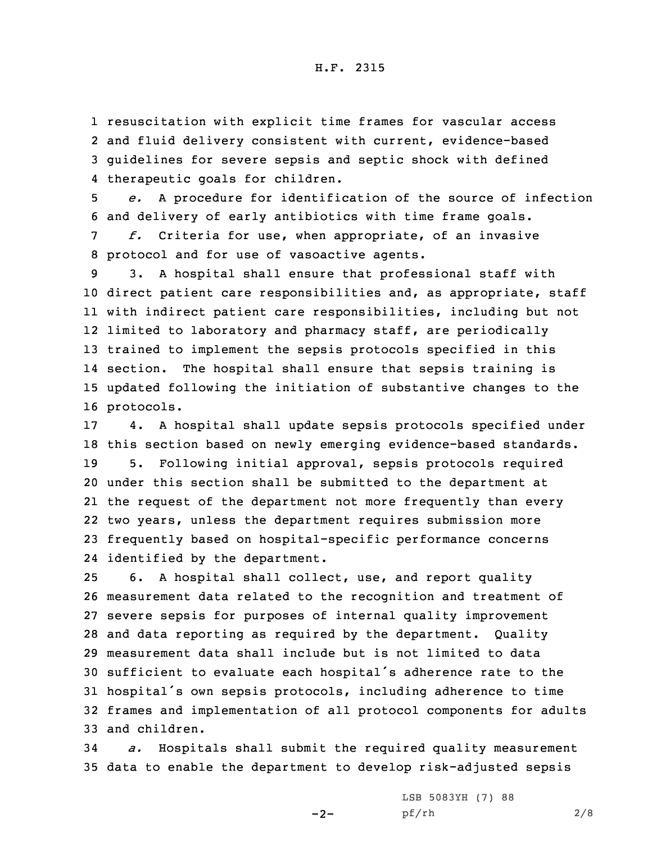resuscitation with explicit time frames for vascular access and fluid delivery consistent with current, evidence-based guidelines for severe sepsis and septic shock with defined therapeutic goals for children.

5 *e.* <sup>A</sup> procedure for identification of the source of infection 6 and delivery of early antibiotics with time frame goals.

7 *f.* Criteria for use, when appropriate, of an invasive 8 protocol and for use of vasoactive agents.

 3. <sup>A</sup> hospital shall ensure that professional staff with direct patient care responsibilities and, as appropriate, staff with indirect patient care responsibilities, including but not limited to laboratory and pharmacy staff, are periodically trained to implement the sepsis protocols specified in this section. The hospital shall ensure that sepsis training is updated following the initiation of substantive changes to the protocols.

 4. <sup>A</sup> hospital shall update sepsis protocols specified under this section based on newly emerging evidence-based standards. 5. Following initial approval, sepsis protocols required under this section shall be submitted to the department at the request of the department not more frequently than every two years, unless the department requires submission more frequently based on hospital-specific performance concerns identified by the department.

 6. <sup>A</sup> hospital shall collect, use, and report quality measurement data related to the recognition and treatment of severe sepsis for purposes of internal quality improvement and data reporting as required by the department. Quality measurement data shall include but is not limited to data sufficient to evaluate each hospital's adherence rate to the hospital's own sepsis protocols, including adherence to time frames and implementation of all protocol components for adults and children.

34 *a.* Hospitals shall submit the required quality measurement 35 data to enable the department to develop risk-adjusted sepsis

 $-2-$ 

LSB 5083YH (7) 88 pf/rh 2/8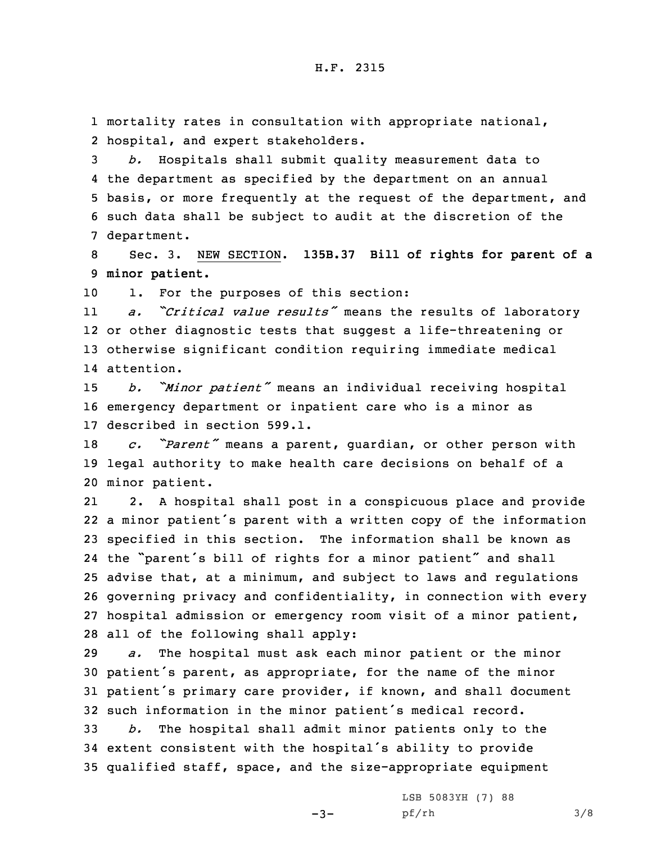1 mortality rates in consultation with appropriate national, 2 hospital, and expert stakeholders.

 *b.* Hospitals shall submit quality measurement data to the department as specified by the department on an annual basis, or more frequently at the request of the department, and such data shall be subject to audit at the discretion of the department.

8 Sec. 3. NEW SECTION. **135B.37 Bill of rights for parent of <sup>a</sup>** 9 **minor patient.**

10 1. For the purposes of this section:

11 *a. "Critical value results"* means the results of laboratory 12 or other diagnostic tests that suggest <sup>a</sup> life-threatening or 13 otherwise significant condition requiring immediate medical 14 attention.

<sup>15</sup> *b. "Minor patient"* means an individual receiving hospital 16 emergency department or inpatient care who is <sup>a</sup> minor as 17 described in section 599.1.

<sup>18</sup> *c. "Parent"* means <sup>a</sup> parent, guardian, or other person with 19 legal authority to make health care decisions on behalf of <sup>a</sup> 20 minor patient.

21 2. <sup>A</sup> hospital shall post in <sup>a</sup> conspicuous place and provide <sup>a</sup> minor patient's parent with <sup>a</sup> written copy of the information specified in this section. The information shall be known as the "parent's bill of rights for <sup>a</sup> minor patient" and shall advise that, at <sup>a</sup> minimum, and subject to laws and regulations governing privacy and confidentiality, in connection with every hospital admission or emergency room visit of <sup>a</sup> minor patient, all of the following shall apply:

 *a.* The hospital must ask each minor patient or the minor patient's parent, as appropriate, for the name of the minor patient's primary care provider, if known, and shall document such information in the minor patient's medical record.

33 *b.* The hospital shall admit minor patients only to the <sup>34</sup> extent consistent with the hospital's ability to provide 35 qualified staff, space, and the size-appropriate equipment

 $-3-$ 

LSB 5083YH (7) 88 pf/rh 3/8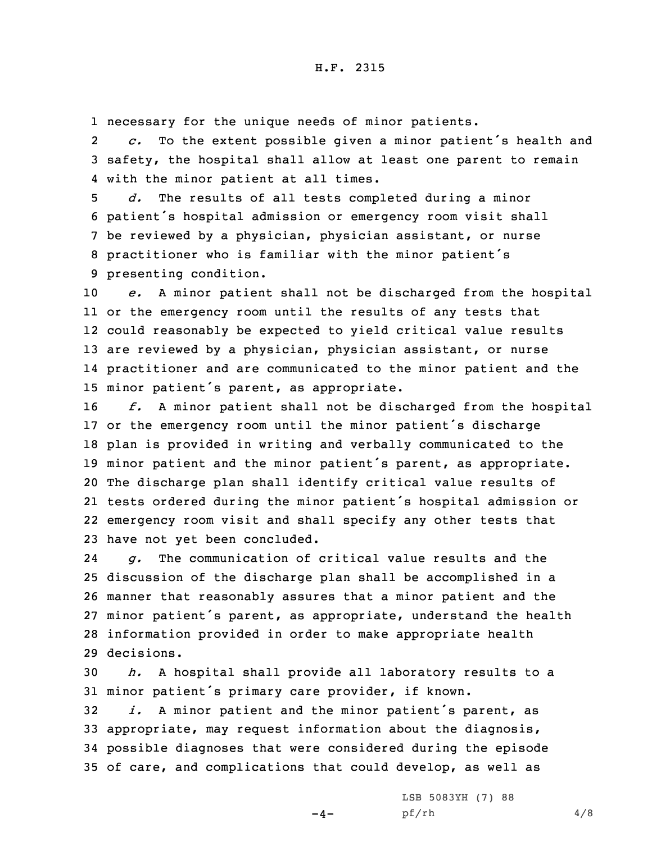1 necessary for the unique needs of minor patients.

2 *c.* To the extent possible given <sup>a</sup> minor patient's health and 3 safety, the hospital shall allow at least one parent to remain 4 with the minor patient at all times.

 *d.* The results of all tests completed during <sup>a</sup> minor patient's hospital admission or emergency room visit shall be reviewed by <sup>a</sup> physician, physician assistant, or nurse practitioner who is familiar with the minor patient's presenting condition.

 *e.* <sup>A</sup> minor patient shall not be discharged from the hospital or the emergency room until the results of any tests that could reasonably be expected to yield critical value results 13 are reviewed by a physician, physician assistant, or nurse practitioner and are communicated to the minor patient and the minor patient's parent, as appropriate.

 *f.* <sup>A</sup> minor patient shall not be discharged from the hospital or the emergency room until the minor patient's discharge plan is provided in writing and verbally communicated to the minor patient and the minor patient's parent, as appropriate. The discharge plan shall identify critical value results of tests ordered during the minor patient's hospital admission or emergency room visit and shall specify any other tests that have not yet been concluded.

24 *g.* The communication of critical value results and the discussion of the discharge plan shall be accomplished in <sup>a</sup> manner that reasonably assures that <sup>a</sup> minor patient and the minor patient's parent, as appropriate, understand the health information provided in order to make appropriate health decisions.

30 *h.* <sup>A</sup> hospital shall provide all laboratory results to <sup>a</sup> <sup>31</sup> minor patient's primary care provider, if known.

 *i.* <sup>A</sup> minor patient and the minor patient's parent, as appropriate, may request information about the diagnosis, possible diagnoses that were considered during the episode of care, and complications that could develop, as well as

 $-4-$ 

LSB 5083YH (7) 88 pf/rh 4/8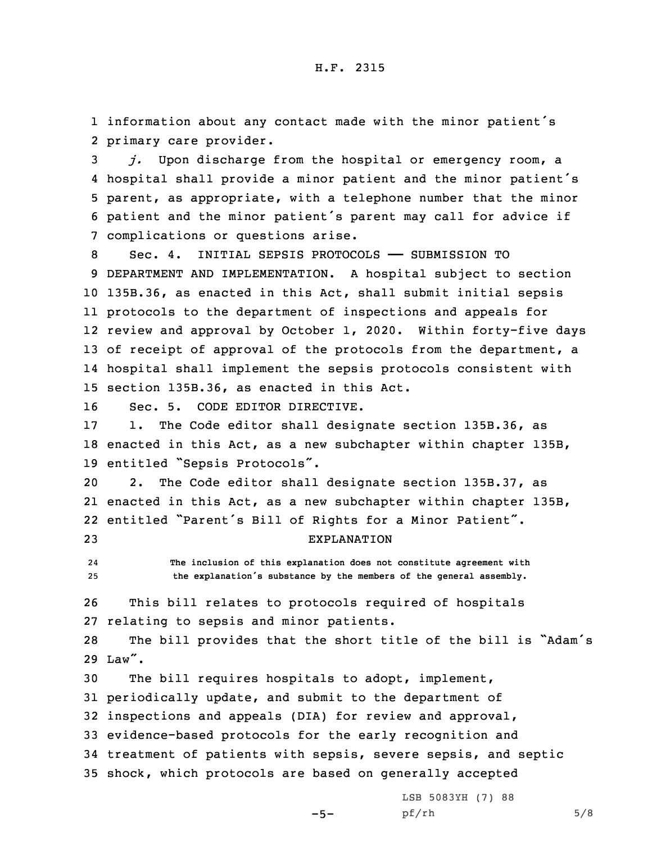1 information about any contact made with the minor patient's 2 primary care provider.

 *j.* Upon discharge from the hospital or emergency room, <sup>a</sup> hospital shall provide <sup>a</sup> minor patient and the minor patient's parent, as appropriate, with <sup>a</sup> telephone number that the minor patient and the minor patient's parent may call for advice if complications or questions arise.

 Sec. 4. INITIAL SEPSIS PROTOCOLS —— SUBMISSION TO DEPARTMENT AND IMPLEMENTATION. <sup>A</sup> hospital subject to section 135B.36, as enacted in this Act, shall submit initial sepsis protocols to the department of inspections and appeals for review and approval by October 1, 2020. Within forty-five days 13 of receipt of approval of the protocols from the department, a hospital shall implement the sepsis protocols consistent with section 135B.36, as enacted in this Act.

16 Sec. 5. CODE EDITOR DIRECTIVE.

17 1. The Code editor shall designate section 135B.36, as 18 enacted in this Act, as <sup>a</sup> new subchapter within chapter 135B, <sup>19</sup> entitled "Sepsis Protocols".

 2. The Code editor shall designate section 135B.37, as enacted in this Act, as <sup>a</sup> new subchapter within chapter 135B, entitled "Parent's Bill of Rights for <sup>a</sup> Minor Patient". EXPLANATION

24 **The inclusion of this explanation does not constitute agreement with** <sup>25</sup> **the explanation's substance by the members of the general assembly.**

26 This bill relates to protocols required of hospitals 27 relating to sepsis and minor patients.

<sup>28</sup> The bill provides that the short title of the bill is "Adam's 29 Law".

 The bill requires hospitals to adopt, implement, periodically update, and submit to the department of inspections and appeals (DIA) for review and approval, evidence-based protocols for the early recognition and treatment of patients with sepsis, severe sepsis, and septic shock, which protocols are based on generally accepted

 $-5-$ 

LSB 5083YH (7) 88 pf/rh 5/8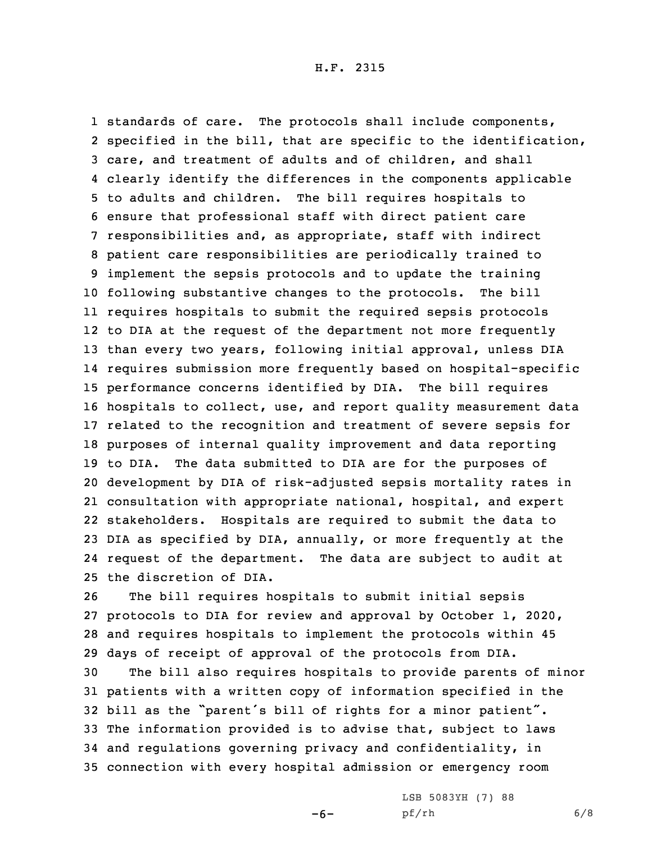standards of care. The protocols shall include components, specified in the bill, that are specific to the identification, care, and treatment of adults and of children, and shall clearly identify the differences in the components applicable to adults and children. The bill requires hospitals to ensure that professional staff with direct patient care responsibilities and, as appropriate, staff with indirect patient care responsibilities are periodically trained to implement the sepsis protocols and to update the training following substantive changes to the protocols. The bill requires hospitals to submit the required sepsis protocols to DIA at the request of the department not more frequently than every two years, following initial approval, unless DIA requires submission more frequently based on hospital-specific performance concerns identified by DIA. The bill requires hospitals to collect, use, and report quality measurement data related to the recognition and treatment of severe sepsis for purposes of internal quality improvement and data reporting to DIA. The data submitted to DIA are for the purposes of development by DIA of risk-adjusted sepsis mortality rates in consultation with appropriate national, hospital, and expert stakeholders. Hospitals are required to submit the data to DIA as specified by DIA, annually, or more frequently at the request of the department. The data are subject to audit at the discretion of DIA.

 The bill requires hospitals to submit initial sepsis protocols to DIA for review and approval by October 1, 2020, and requires hospitals to implement the protocols within 45 days of receipt of approval of the protocols from DIA.

 The bill also requires hospitals to provide parents of minor patients with <sup>a</sup> written copy of information specified in the bill as the "parent's bill of rights for <sup>a</sup> minor patient". The information provided is to advise that, subject to laws and regulations governing privacy and confidentiality, in connection with every hospital admission or emergency room

-6-

LSB 5083YH (7) 88 pf/rh 6/8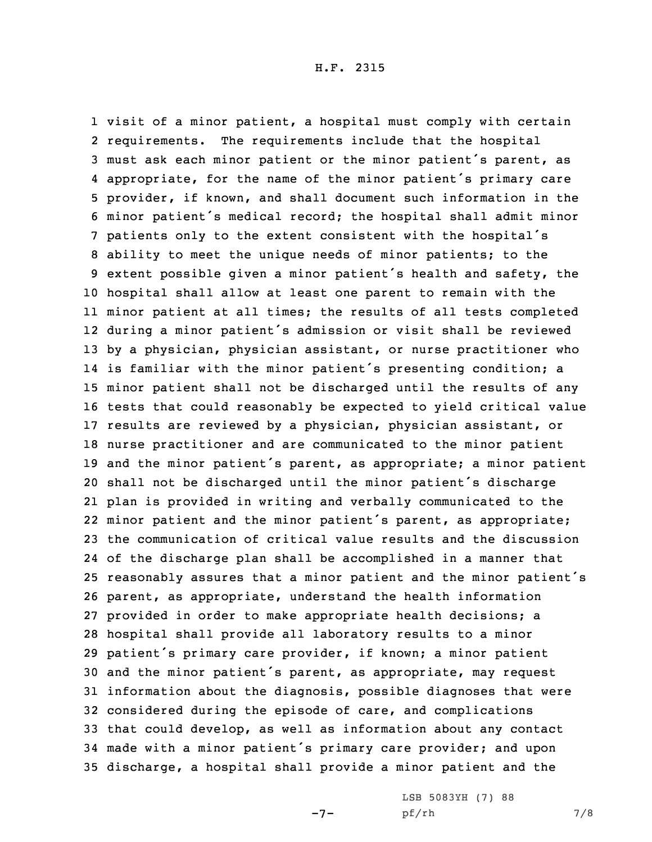visit of <sup>a</sup> minor patient, <sup>a</sup> hospital must comply with certain requirements. The requirements include that the hospital must ask each minor patient or the minor patient's parent, as appropriate, for the name of the minor patient's primary care provider, if known, and shall document such information in the minor patient's medical record; the hospital shall admit minor patients only to the extent consistent with the hospital's ability to meet the unique needs of minor patients; to the extent possible given <sup>a</sup> minor patient's health and safety, the hospital shall allow at least one parent to remain with the minor patient at all times; the results of all tests completed during <sup>a</sup> minor patient's admission or visit shall be reviewed by <sup>a</sup> physician, physician assistant, or nurse practitioner who is familiar with the minor patient's presenting condition; <sup>a</sup> minor patient shall not be discharged until the results of any tests that could reasonably be expected to yield critical value results are reviewed by <sup>a</sup> physician, physician assistant, or nurse practitioner and are communicated to the minor patient and the minor patient's parent, as appropriate; <sup>a</sup> minor patient shall not be discharged until the minor patient's discharge plan is provided in writing and verbally communicated to the minor patient and the minor patient's parent, as appropriate; the communication of critical value results and the discussion of the discharge plan shall be accomplished in <sup>a</sup> manner that reasonably assures that <sup>a</sup> minor patient and the minor patient's parent, as appropriate, understand the health information provided in order to make appropriate health decisions; <sup>a</sup> hospital shall provide all laboratory results to <sup>a</sup> minor patient's primary care provider, if known; <sup>a</sup> minor patient and the minor patient's parent, as appropriate, may request information about the diagnosis, possible diagnoses that were considered during the episode of care, and complications that could develop, as well as information about any contact made with <sup>a</sup> minor patient's primary care provider; and upon discharge, <sup>a</sup> hospital shall provide <sup>a</sup> minor patient and the

-7-

LSB 5083YH (7) 88 pf/rh 7/8